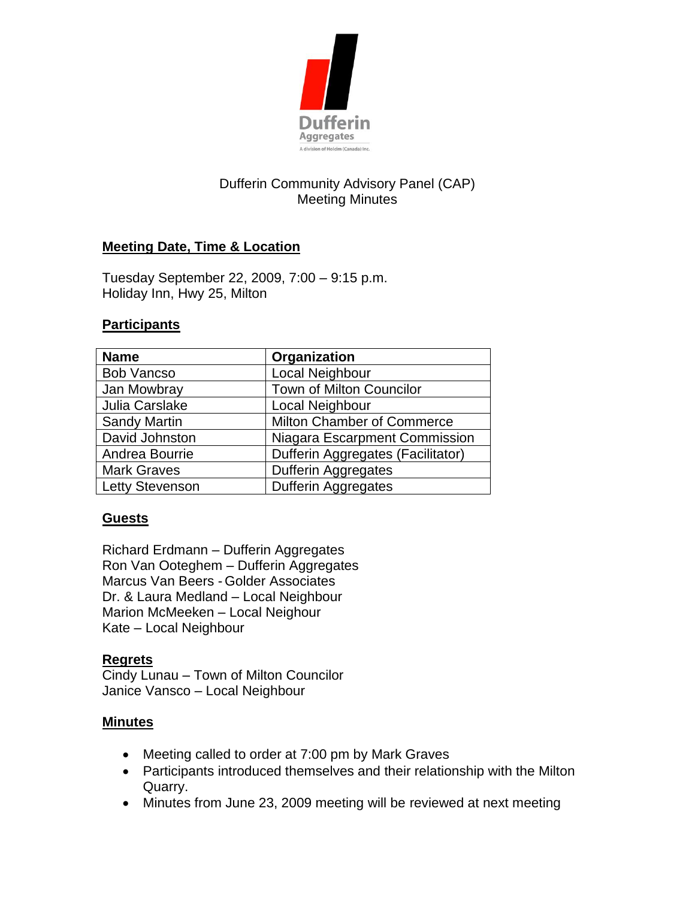

# Dufferin Community Advisory Panel (CAP) Meeting Minutes

## **Meeting Date, Time & Location**

Tuesday September 22, 2009, 7:00 – 9:15 p.m. Holiday Inn, Hwy 25, Milton

### **Participants**

| <b>Name</b>            | Organization                      |
|------------------------|-----------------------------------|
| <b>Bob Vancso</b>      | Local Neighbour                   |
| Jan Mowbray            | Town of Milton Councilor          |
| Julia Carslake         | Local Neighbour                   |
| <b>Sandy Martin</b>    | <b>Milton Chamber of Commerce</b> |
| David Johnston         | Niagara Escarpment Commission     |
| Andrea Bourrie         | Dufferin Aggregates (Facilitator) |
| <b>Mark Graves</b>     | Dufferin Aggregates               |
| <b>Letty Stevenson</b> | <b>Dufferin Aggregates</b>        |

#### **Guests**

Richard Erdmann – Dufferin Aggregates Ron Van Ooteghem – Dufferin Aggregates Marcus Van Beers - Golder Associates Dr. & Laura Medland – Local Neighbour Marion McMeeken – Local Neighour Kate – Local Neighbour

#### **Regrets**

Cindy Lunau – Town of Milton Councilor Janice Vansco – Local Neighbour

#### **Minutes**

- Meeting called to order at 7:00 pm by Mark Graves
- Participants introduced themselves and their relationship with the Milton Quarry.
- Minutes from June 23, 2009 meeting will be reviewed at next meeting